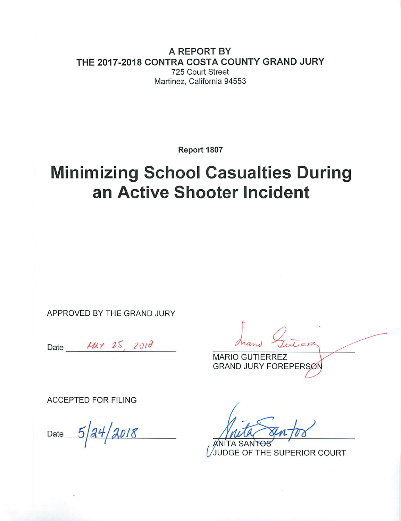A REPORT BY THE 2017-2018 CONTRA COSTA COUNTY GRAND JURY 725 Court Street Martinez, California 94553

Report 1807

# **Minimizing School Casualties During** an Active Shooter Incident

APPROVED BY THE GRAND JURY

Date  $Mxy$  25, 2018

**MARIO GUTIERREZ GRAND JURY FOREPERSON** 

**ACCEPTED FOR FILING** 

 $5/24/2018$ Date

JUDGE OF THE SUPERIOR COURT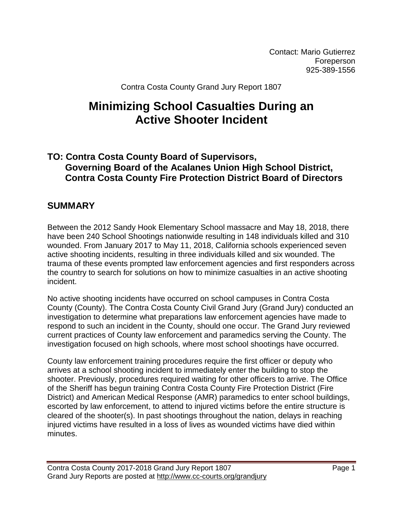Contact: Mario Gutierrez Foreperson 925-389-1556

Contra Costa County Grand Jury Report 1807

# **Minimizing School Casualties During an Active Shooter Incident**

# **TO: Contra Costa County Board of Supervisors, Governing Board of the Acalanes Union High School District, Contra Costa County Fire Protection District Board of Directors**

# **SUMMARY**

Between the 2012 Sandy Hook Elementary School massacre and May 18, 2018, there have been 240 School Shootings nationwide resulting in 148 individuals killed and 310 wounded. From January 2017 to May 11, 2018, California schools experienced seven active shooting incidents, resulting in three individuals killed and six wounded. The trauma of these events prompted law enforcement agencies and first responders across the country to search for solutions on how to minimize casualties in an active shooting incident.

No active shooting incidents have occurred on school campuses in Contra Costa County (County). The Contra Costa County Civil Grand Jury (Grand Jury) conducted an investigation to determine what preparations law enforcement agencies have made to respond to such an incident in the County, should one occur. The Grand Jury reviewed current practices of County law enforcement and paramedics serving the County. The investigation focused on high schools, where most school shootings have occurred.

County law enforcement training procedures require the first officer or deputy who arrives at a school shooting incident to immediately enter the building to stop the shooter. Previously, procedures required waiting for other officers to arrive. The Office of the Sheriff has begun training Contra Costa County Fire Protection District (Fire District) and American Medical Response (AMR) paramedics to enter school buildings, escorted by law enforcement, to attend to injured victims before the entire structure is cleared of the shooter(s). In past shootings throughout the nation, delays in reaching injured victims have resulted in a loss of lives as wounded victims have died within minutes.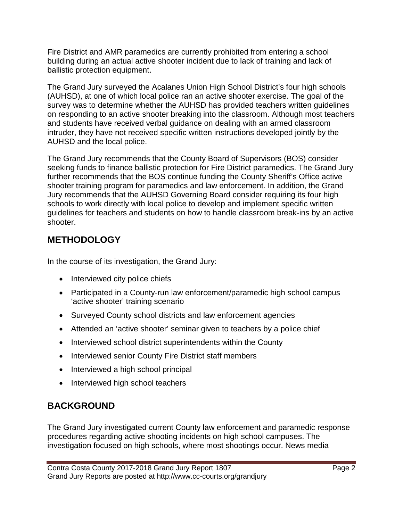Fire District and AMR paramedics are currently prohibited from entering a school building during an actual active shooter incident due to lack of training and lack of ballistic protection equipment.

The Grand Jury surveyed the Acalanes Union High School District's four high schools (AUHSD), at one of which local police ran an active shooter exercise. The goal of the survey was to determine whether the AUHSD has provided teachers written guidelines on responding to an active shooter breaking into the classroom. Although most teachers and students have received verbal guidance on dealing with an armed classroom intruder, they have not received specific written instructions developed jointly by the AUHSD and the local police.

The Grand Jury recommends that the County Board of Supervisors (BOS) consider seeking funds to finance ballistic protection for Fire District paramedics. The Grand Jury further recommends that the BOS continue funding the County Sheriff's Office active shooter training program for paramedics and law enforcement. In addition, the Grand Jury recommends that the AUHSD Governing Board consider requiring its four high schools to work directly with local police to develop and implement specific written guidelines for teachers and students on how to handle classroom break-ins by an active shooter.

# **METHODOLOGY**

In the course of its investigation, the Grand Jury:

- Interviewed city police chiefs
- Participated in a County-run law enforcement/paramedic high school campus 'active shooter' training scenario
- Surveyed County school districts and law enforcement agencies
- Attended an 'active shooter' seminar given to teachers by a police chief
- Interviewed school district superintendents within the County
- Interviewed senior County Fire District staff members
- Interviewed a high school principal
- Interviewed high school teachers

# **BACKGROUND**

The Grand Jury investigated current County law enforcement and paramedic response procedures regarding active shooting incidents on high school campuses. The investigation focused on high schools, where most shootings occur. News media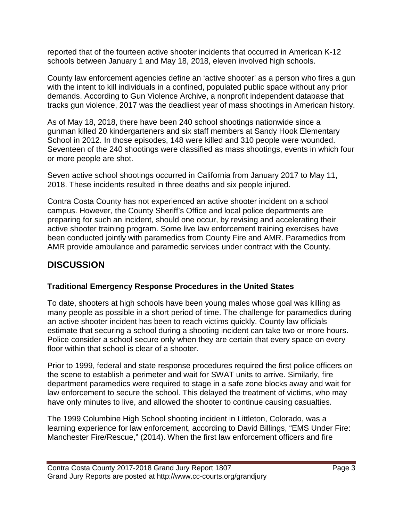reported that of the fourteen active shooter incidents that occurred in American K-12 schools between January 1 and May 18, 2018, eleven involved high schools.

County law enforcement agencies define an 'active shooter' as a person who fires a gun with the intent to kill individuals in a confined, populated public space without any prior demands. According to Gun Violence Archive, a nonprofit independent database that tracks gun violence, 2017 was the deadliest year of mass shootings in American history.

As of May 18, 2018, there have been 240 school shootings nationwide since a gunman killed 20 kindergarteners and six staff members at Sandy Hook Elementary School in 2012. In those episodes, 148 were killed and 310 people were wounded. Seventeen of the 240 shootings were classified as mass shootings, events in which four or more people are shot.

Seven active school shootings occurred in California from January 2017 to May 11, 2018. These incidents resulted in three deaths and six people injured.

Contra Costa County has not experienced an active shooter incident on a school campus. However, the County Sheriff's Office and local police departments are preparing for such an incident, should one occur, by revising and accelerating their active shooter training program. Some live law enforcement training exercises have been conducted jointly with paramedics from County Fire and AMR. Paramedics from AMR provide ambulance and paramedic services under contract with the County.

# **DISCUSSION**

## **Traditional Emergency Response Procedures in the United States**

To date, shooters at high schools have been young males whose goal was killing as many people as possible in a short period of time. The challenge for paramedics during an active shooter incident has been to reach victims quickly. County law officials estimate that securing a school during a shooting incident can take two or more hours. Police consider a school secure only when they are certain that every space on every floor within that school is clear of a shooter.

Prior to 1999, federal and state response procedures required the first police officers on the scene to establish a perimeter and wait for SWAT units to arrive. Similarly, fire department paramedics were required to stage in a safe zone blocks away and wait for law enforcement to secure the school. This delayed the treatment of victims, who may have only minutes to live, and allowed the shooter to continue causing casualties.

The 1999 Columbine High School shooting incident in Littleton, Colorado, was a learning experience for law enforcement, according to David Billings, "EMS Under Fire: Manchester Fire/Rescue," (2014). When the first law enforcement officers and fire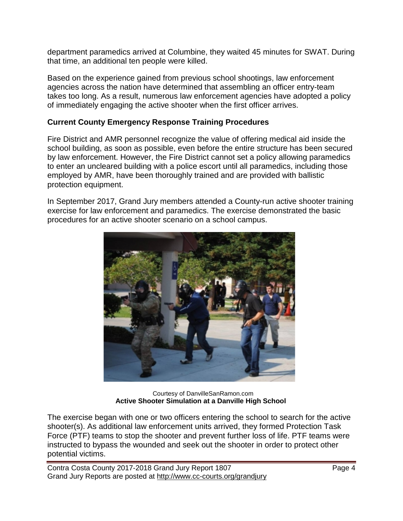department paramedics arrived at Columbine, they waited 45 minutes for SWAT. During that time, an additional ten people were killed.

Based on the experience gained from previous school shootings, law enforcement agencies across the nation have determined that assembling an officer entry-team takes too long. As a result, numerous law enforcement agencies have adopted a policy of immediately engaging the active shooter when the first officer arrives.

#### **Current County Emergency Response Training Procedures**

Fire District and AMR personnel recognize the value of offering medical aid inside the school building, as soon as possible, even before the entire structure has been secured by law enforcement. However, the Fire District cannot set a policy allowing paramedics to enter an uncleared building with a police escort until all paramedics, including those employed by AMR, have been thoroughly trained and are provided with ballistic protection equipment.

In September 2017, Grand Jury members attended a County-run active shooter training exercise for law enforcement and paramedics. The exercise demonstrated the basic procedures for an active shooter scenario on a school campus.



 Courtesy of DanvilleSanRamon.com **Active Shooter Simulation at a Danville High School**

The exercise began with one or two officers entering the school to search for the active shooter(s). As additional law enforcement units arrived, they formed Protection Task Force (PTF) teams to stop the shooter and prevent further loss of life. PTF teams were instructed to bypass the wounded and seek out the shooter in order to protect other potential victims.

Contra Costa County 2017-2018 Grand Jury Report 1807 Grand Jury Reports are posted at http://www.cc-courts.org/grandjury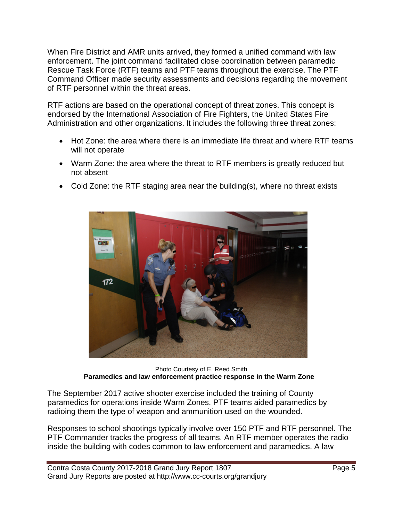When Fire District and AMR units arrived, they formed a unified command with law enforcement. The joint command facilitated close coordination between paramedic Rescue Task Force (RTF) teams and PTF teams throughout the exercise. The PTF Command Officer made security assessments and decisions regarding the movement of RTF personnel within the threat areas.

RTF actions are based on the operational concept of threat zones. This concept is endorsed by the International Association of Fire Fighters, the United States Fire Administration and other organizations. It includes the following three threat zones:

- Hot Zone: the area where there is an immediate life threat and where RTF teams will not operate
- Warm Zone: the area where the threat to RTF members is greatly reduced but not absent
	- 172
- Cold Zone: the RTF staging area near the building(s), where no threat exists

Photo Courtesy of E. Reed Smith  **Paramedics and law enforcement practice response in the Warm Zone** 

The September 2017 active shooter exercise included the training of County paramedics for operations inside Warm Zones. PTF teams aided paramedics by radioing them the type of weapon and ammunition used on the wounded.

Responses to school shootings typically involve over 150 PTF and RTF personnel. The PTF Commander tracks the progress of all teams. An RTF member operates the radio inside the building with codes common to law enforcement and paramedics. A law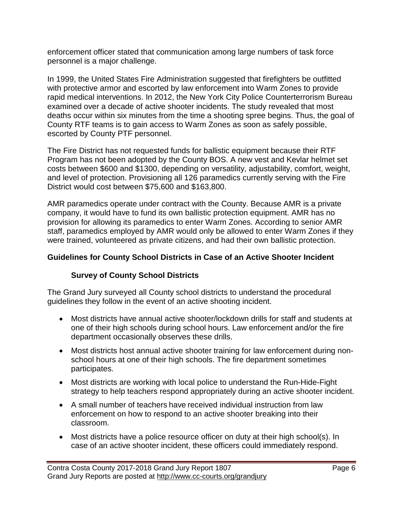enforcement officer stated that communication among large numbers of task force personnel is a major challenge.

In 1999, the United States Fire Administration suggested that firefighters be outfitted with protective armor and escorted by law enforcement into Warm Zones to provide rapid medical interventions. In 2012, the New York City Police Counterterrorism Bureau examined over a decade of active shooter incidents. The study revealed that most deaths occur within six minutes from the time a shooting spree begins. Thus, the goal of County RTF teams is to gain access to Warm Zones as soon as safely possible, escorted by County PTF personnel.

The Fire District has not requested funds for ballistic equipment because their RTF Program has not been adopted by the County BOS. A new vest and Kevlar helmet set costs between \$600 and \$1300, depending on versatility, adjustability, comfort, weight, and level of protection. Provisioning all 126 paramedics currently serving with the Fire District would cost between \$75,600 and \$163,800.

AMR paramedics operate under contract with the County. Because AMR is a private company, it would have to fund its own ballistic protection equipment. AMR has no provision for allowing its paramedics to enter Warm Zones. According to senior AMR staff, paramedics employed by AMR would only be allowed to enter Warm Zones if they were trained, volunteered as private citizens, and had their own ballistic protection.

## **Guidelines for County School Districts in Case of an Active Shooter Incident**

## **Survey of County School Districts**

The Grand Jury surveyed all County school districts to understand the procedural guidelines they follow in the event of an active shooting incident.

- Most districts have annual active shooter/lockdown drills for staff and students at one of their high schools during school hours. Law enforcement and/or the fire department occasionally observes these drills.
- Most districts host annual active shooter training for law enforcement during nonschool hours at one of their high schools. The fire department sometimes participates.
- Most districts are working with local police to understand the Run-Hide-Fight strategy to help teachers respond appropriately during an active shooter incident.
- A small number of teachers have received individual instruction from law enforcement on how to respond to an active shooter breaking into their classroom.
- Most districts have a police resource officer on duty at their high school(s). In case of an active shooter incident, these officers could immediately respond.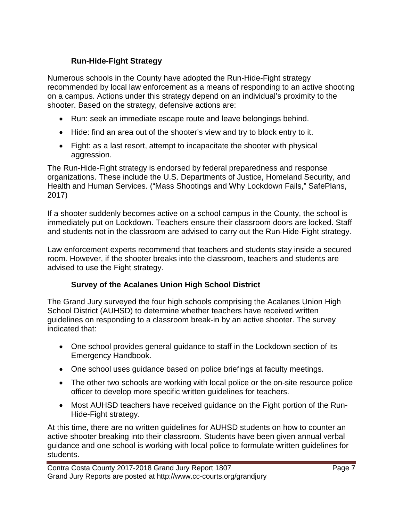## **Run-Hide-Fight Strategy**

Numerous schools in the County have adopted the Run-Hide-Fight strategy recommended by local law enforcement as a means of responding to an active shooting on a campus. Actions under this strategy depend on an individual's proximity to the shooter. Based on the strategy, defensive actions are:

- Run: seek an immediate escape route and leave belongings behind.
- Hide: find an area out of the shooter's view and try to block entry to it.
- Fight: as a last resort, attempt to incapacitate the shooter with physical aggression.

The Run-Hide-Fight strategy is endorsed by federal preparedness and response organizations. These include the U.S. Departments of Justice, Homeland Security, and Health and Human Services. ("Mass Shootings and Why Lockdown Fails," SafePlans, 2017)

If a shooter suddenly becomes active on a school campus in the County, the school is immediately put on Lockdown. Teachers ensure their classroom doors are locked. Staff and students not in the classroom are advised to carry out the Run-Hide-Fight strategy.

Law enforcement experts recommend that teachers and students stay inside a secured room. However, if the shooter breaks into the classroom, teachers and students are advised to use the Fight strategy.

## **Survey of the Acalanes Union High School District**

The Grand Jury surveyed the four high schools comprising the Acalanes Union High School District (AUHSD) to determine whether teachers have received written guidelines on responding to a classroom break-in by an active shooter. The survey indicated that:

- One school provides general guidance to staff in the Lockdown section of its Emergency Handbook.
- One school uses guidance based on police briefings at faculty meetings.
- The other two schools are working with local police or the on-site resource police officer to develop more specific written guidelines for teachers.
- Most AUHSD teachers have received guidance on the Fight portion of the Run-Hide-Fight strategy.

At this time, there are no written guidelines for AUHSD students on how to counter an active shooter breaking into their classroom. Students have been given annual verbal guidance and one school is working with local police to formulate written guidelines for students.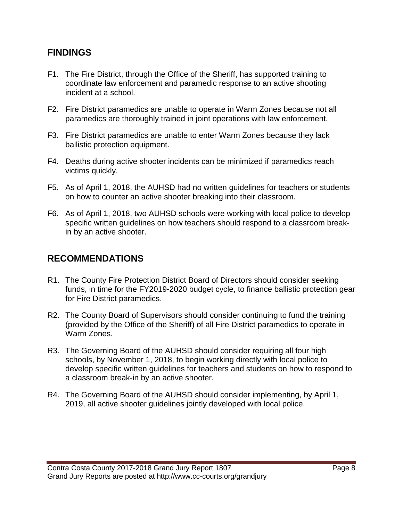## **FINDINGS**

- F1. The Fire District, through the Office of the Sheriff, has supported training to coordinate law enforcement and paramedic response to an active shooting incident at a school.
- F2. Fire District paramedics are unable to operate in Warm Zones because not all paramedics are thoroughly trained in joint operations with law enforcement.
- F3. Fire District paramedics are unable to enter Warm Zones because they lack ballistic protection equipment.
- F4. Deaths during active shooter incidents can be minimized if paramedics reach victims quickly.
- F5. As of April 1, 2018, the AUHSD had no written guidelines for teachers or students on how to counter an active shooter breaking into their classroom.
- F6. As of April 1, 2018, two AUHSD schools were working with local police to develop specific written guidelines on how teachers should respond to a classroom breakin by an active shooter.

# **RECOMMENDATIONS**

- R1. The County Fire Protection District Board of Directors should consider seeking funds, in time for the FY2019-2020 budget cycle, to finance ballistic protection gear for Fire District paramedics.
- R2. The County Board of Supervisors should consider continuing to fund the training (provided by the Office of the Sheriff) of all Fire District paramedics to operate in Warm Zones.
- R3. The Governing Board of the AUHSD should consider requiring all four high schools, by November 1, 2018, to begin working directly with local police to develop specific written guidelines for teachers and students on how to respond to a classroom break-in by an active shooter.
- R4. The Governing Board of the AUHSD should consider implementing, by April 1, 2019, all active shooter guidelines jointly developed with local police.